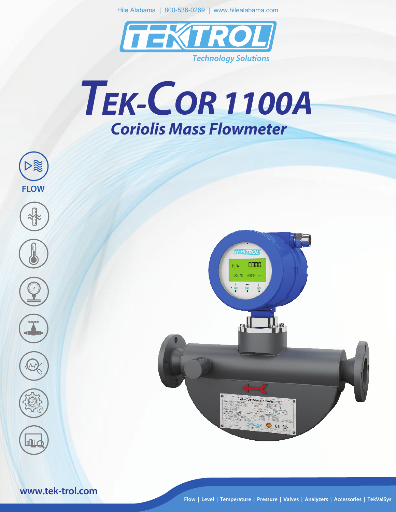





**www.tek-trol.com**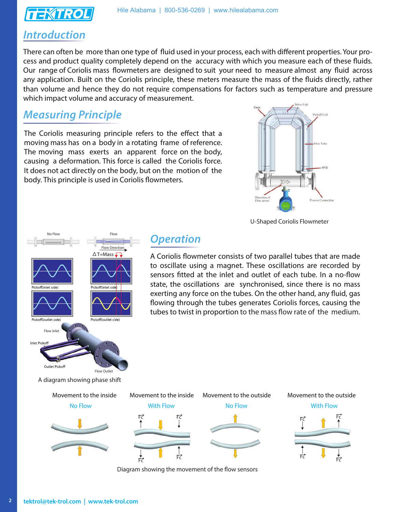

#### **Introduction**

There can often be more than one type of fluid used in your process, each with different properties. Your process and product quality completely depend on the accuracy with which you measure each of these fluids. Our range of Coriolis mass flowmeters are designed to suit your need to measure almost any fluid across any application. Built on the Coriolis principle, these meters measure the mass of the fluids directly, rather than volume and hence they do not require compensations for factors such as temperature and pressure which impact volume and accuracy of measurement.

### **Measuring Principle**

The Coriolis measuring principle refers to the effect that a moving mass has on a body in a rotating frame of reference. The moving mass exerts an apparent force on the body, causing a deformation. This force is called the Coriolis force. It does not act directly on the body, but on the motion of the body. This principle is used in Coriolis flowmeters.



U-Shaped Coriolis Flowmeter

A Coriolis flowmeter consists of two parallel tubes that are made to oscillate using a magnet. These oscillations are recorded by sensors fitted at the inlet and outlet of each tube. In a no-flow state, the oscillations are synchronised, since there is no mass exerting any force on the tubes. On the other hand, any fluid, gas flowing through the tubes generates Coriolis forces, causing the tubes to twist in proportion to the mass flow rate of the medium.







**Operation**



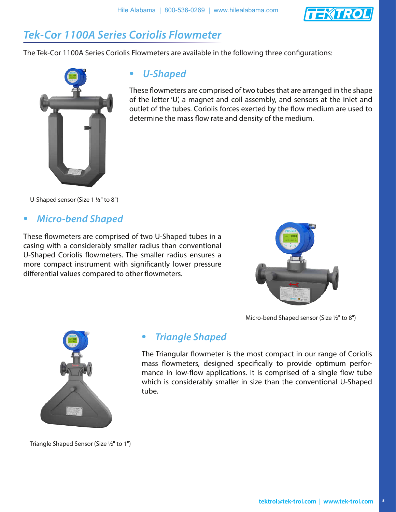

### **Tek-Cor 1100A Series Coriolis Flowmeter**

The Tek-Cor 1100A Series Coriolis Flowmeters are available in the following three configurations:



**• U-Shaped**

These flowmeters are comprised of two tubes that are arranged in the shape of the letter 'U', a magnet and coil assembly, and sensors at the inlet and outlet of the tubes. Coriolis forces exerted by the flow medium are used to determine the mass flow rate and density of the medium.

U-Shaped sensor (Size 1 ½" to 8")

#### **• Micro-bend Shaped**

These flowmeters are comprised of two U-Shaped tubes in a casing with a considerably smaller radius than conventional U-Shaped Coriolis flowmeters. The smaller radius ensures a more compact instrument with significantly lower pressure differential values compared to other flowmeters.



Micro-bend Shaped sensor (Size ½" to 8")



#### **• Triangle Shaped**

The Triangular flowmeter is the most compact in our range of Coriolis mass flowmeters, designed specifically to provide optimum performance in low-flow applications. It is comprised of a single flow tube which is considerably smaller in size than the conventional U-Shaped tube.

Triangle Shaped Sensor (Size ½" to 1")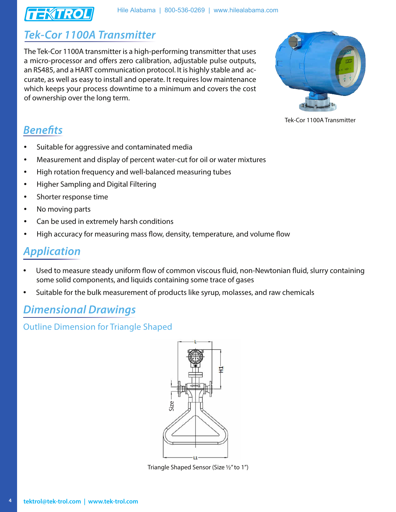

## **Tek-Cor 1100A Transmitter**

The Tek-Cor 1100A transmitter is a high-performing transmitter that uses a micro-processor and offers zero calibration, adjustable pulse outputs, an RS485, and a HART communication protocol. It is highly stable and accurate, as well as easy to install and operate. It requires low maintenance which keeps your process downtime to a minimum and covers the cost of ownership over the long term.



Tek-Cor 1100A Transmitter

### **Benefits**

- Suitable for aggressive and contaminated media
- Measurement and display of percent water-cut for oil or water mixtures
- High rotation frequency and well-balanced measuring tubes
- Higher Sampling and Digital Filtering
- Shorter response time
- No moving parts
- Can be used in extremely harsh conditions
- High accuracy for measuring mass flow, density, temperature, and volume flow

### **Application**

- Used to measure steady uniform flow of common viscous fluid, non-Newtonian fluid, slurry containing some solid components, and liquids containing some trace of gases
- Suitable for the bulk measurement of products like syrup, molasses, and raw chemicals

### **Dimensional Drawings**

#### Outline Dimension for Triangle Shaped

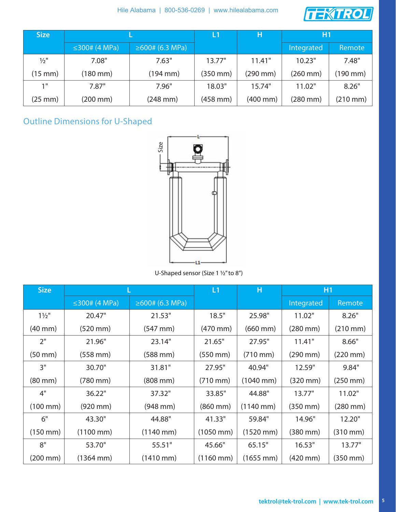

| <b>Size</b>     |                      |                        | /L 1/         | н                    | 'H1                  |                      |
|-----------------|----------------------|------------------------|---------------|----------------------|----------------------|----------------------|
|                 | $\leq 300$ # (4 MPa) | $\geq 600$ # (6.3 MPa) |               |                      | Integrated           | Remote               |
| $\frac{1}{2}$ " | 7.08"                | 7.63"                  | 13.77"        | 11.41"               | 10.23"               | 7.48"                |
| (15 mm)         | $(180 \, \text{mm})$ | (194 mm)               | $(350$ mm $)$ | $(290 \, \text{mm})$ | $(260 \, \text{mm})$ | $(190 \, \text{mm})$ |
| 1"              | 7.87"                | 7.96"                  | 18.03"        | 15.74"               | 11.02"               | 8.26"                |
| (25 mm)         | $(200 \text{ mm})$   | $(248 \text{ mm})$     | $(458$ mm $)$ | $(400 \, \text{mm})$ | $(280 \, \text{mm})$ | $(210 \, \text{mm})$ |

### Outline Dimensions for U-Shaped



U-Shaped sensor (Size 1 ½" to 8")

| <b>Size</b>          |                       |                        | L1                    | Н                     |                      | H1                   |
|----------------------|-----------------------|------------------------|-----------------------|-----------------------|----------------------|----------------------|
|                      | ≤300# (4 MPa)         | $\geq 600$ # (6.3 MPa) |                       |                       | Integrated           | Remote               |
| $1\frac{1}{2}$ "     | 20.47"                | 21.53"                 | 18.5"                 | 25.98"                | 11.02"               | 8.26"                |
| $(40 \text{ mm})$    | $(520 \, \text{mm})$  | $(547 \, \text{mm})$   | $(470 \, \text{mm})$  | $(660 \, \text{mm})$  | $(280 \, \text{mm})$ | $(210 \, \text{mm})$ |
| 2"                   | 21.96"                | 23.14"                 | 21.65"                | 27.95"                | 11.41"               | 8.66"                |
| $(50 \text{ mm})$    | $(558 \, \text{mm})$  | $(588 \, \text{mm})$   | $(550 \, \text{mm})$  | (710 mm)              | $(290 \, \text{mm})$ | $(220 \, \text{mm})$ |
| 3"                   | 30.70"                | 31.81"                 | 27.95"                | 40.94"                | 12.59"               | 9.84"                |
| $(80 \text{ mm})$    | $(780 \, \text{mm})$  | $(808 \, \text{mm})$   | $(710 \, \text{mm})$  | $(1040 \text{ mm})$   | (320 mm)             | $(250 \, \text{mm})$ |
| 4"                   | 36.22"                | 37.32"                 | 33.85"                | 44.88"                | 13.77"               | 11.02"               |
| $(100 \, \text{mm})$ | $(920 \, \text{mm})$  | $(948 \, \text{mm})$   | $(860 \, \text{mm})$  | $(1140 \text{ mm})$   | $(350$ mm $)$        | $(280 \, \text{mm})$ |
| 6"                   | 43.30"                | 44.88"                 | 41.33"                | 59.84"                | 14.96"               | 12.20"               |
| $(150 \, \text{mm})$ | $(1100 \, \text{mm})$ | $(1140 \, \text{mm})$  | $(1050 \, \text{mm})$ | $(1520 \, \text{mm})$ | $(380 \, \text{mm})$ | $(310 \, \text{mm})$ |
| 8"                   | 53.70"                | 55.51"                 | 45.66"                | 65.15"                | 16.53"               | 13.77"               |
| $(200 \, \text{mm})$ | $(1364 \, \text{mm})$ | $(1410 \, \text{mm})$  | $(1160 \, \text{mm})$ | $(1655 \, \text{mm})$ | $(420 \, \text{mm})$ | $(350 \, \text{mm})$ |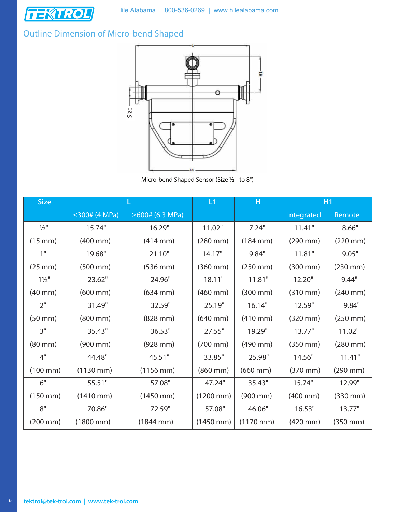

### Outline Dimension of Micro-bend Shaped



Micro-bend Shaped Sensor (Size ½" to 8")

| <b>Size</b>          |                       | L1                    | Н                     | H1                    |                      |                      |
|----------------------|-----------------------|-----------------------|-----------------------|-----------------------|----------------------|----------------------|
|                      | ≤300# (4 MPa)         | ≥600# (6.3 MPa)       |                       |                       | Integrated           | Remote               |
| $\frac{1}{2}$ "      | 15.74"                | 16.29"                | 11.02"                | 7.24"                 | 11.41"               | 8.66"                |
| $(15 \text{ mm})$    | $(400 \, \text{mm})$  | $(414 \, \text{mm})$  | $(280 \, \text{mm})$  | $(184 \text{ mm})$    | $(290 \, \text{mm})$ | $(220 \, \text{mm})$ |
| 1"                   | 19.68"                | 21.10"                | 14.17"                | 9.84"                 | 11.81"               | 9.05"                |
| $(25 \text{ mm})$    | $(500 \text{ mm})$    | $(536$ mm $)$         | $(360$ mm $)$         | $(250 \, \text{mm})$  | $(300$ mm $)$        | $(230 \, \text{mm})$ |
| $1\frac{1}{2}$       | 23.62"                | 24.96"                | 18.11"                | 11.81"                | 12.20"               | 9.44"                |
| $(40 \text{ mm})$    | $(600 \, \text{mm})$  | $(634 \, \text{mm})$  | $(460 \, \text{mm})$  | $(300 \, \text{mm})$  | $(310 \text{ mm})$   | $(240 \, \text{mm})$ |
| 2"                   | 31.49"                | 32.59"                | 25.19"                | 16.14"                | 12.59"               | 9.84"                |
| $(50 \text{ mm})$    | $(800 \, \text{mm})$  | $(828 \, \text{mm})$  | $(640 \, \text{mm})$  | $(410 \, \text{mm})$  | $(320$ mm $)$        | $(250 \, \text{mm})$ |
| 3"                   | 35.43"                | 36.53"                | 27.55"                | 19.29"                | 13.77"               | 11.02"               |
| $(80 \text{ mm})$    | $(900 \, \text{mm})$  | $(928 \, \text{mm})$  | $(700 \, \text{mm})$  | $(490 \, \text{mm})$  | $(350$ mm $)$        | $(280 \, \text{mm})$ |
| 4"                   | 44.48"                | 45.51"                | 33.85"                | 25.98"                | 14.56"               | 11.41"               |
| $(100 \, \text{mm})$ | $(1130 \, \text{mm})$ | $(1156 \, \text{mm})$ | $(860 \, \text{mm})$  | $(660 \, \text{mm})$  | $(370 \, \text{mm})$ | $(290 \, \text{mm})$ |
| 6"                   | 55.51"                | 57.08"                | 47.24"                | 35.43"                | 15.74"               | 12.99"               |
| $(150 \, \text{mm})$ | $(1410 \, \text{mm})$ | $(1450 \, \text{mm})$ | $(1200 \, \text{mm})$ | $(900 \, \text{mm})$  | $(400 \, \text{mm})$ | $(330$ mm $)$        |
| 8"                   | 70.86"                | 72.59"                | 57.08"                | 46.06"                | 16.53"               | 13.77"               |
| $(200 \, \text{mm})$ | $(1800 \, \text{mm})$ | $(1844 \, \text{mm})$ | $(1450 \, \text{mm})$ | $(1170 \, \text{mm})$ | $(420 \, \text{mm})$ | $(350 \, \text{mm})$ |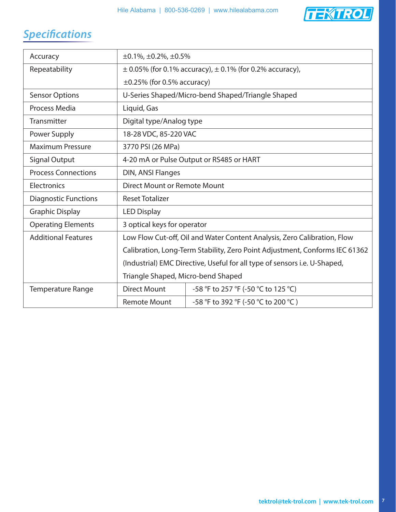

# **Specifications**

| Accuracy                    |                                                                             | $\pm 0.1\%$ , $\pm 0.2\%$ , $\pm 0.5\%$                          |  |  |  |  |  |  |
|-----------------------------|-----------------------------------------------------------------------------|------------------------------------------------------------------|--|--|--|--|--|--|
| Repeatability               |                                                                             | $\pm$ 0.05% (for 0.1% accuracy), $\pm$ 0.1% (for 0.2% accuracy), |  |  |  |  |  |  |
|                             | $\pm 0.25\%$ (for 0.5% accuracy)                                            |                                                                  |  |  |  |  |  |  |
| <b>Sensor Options</b>       |                                                                             | U-Series Shaped/Micro-bend Shaped/Triangle Shaped                |  |  |  |  |  |  |
| Process Media               | Liquid, Gas                                                                 |                                                                  |  |  |  |  |  |  |
| Transmitter                 | Digital type/Analog type                                                    |                                                                  |  |  |  |  |  |  |
| Power Supply                | 18-28 VDC, 85-220 VAC                                                       |                                                                  |  |  |  |  |  |  |
| <b>Maximum Pressure</b>     | 3770 PSI (26 MPa)                                                           |                                                                  |  |  |  |  |  |  |
| <b>Signal Output</b>        |                                                                             | 4-20 mA or Pulse Output or RS485 or HART                         |  |  |  |  |  |  |
| <b>Process Connections</b>  | DIN, ANSI Flanges                                                           |                                                                  |  |  |  |  |  |  |
| Electronics                 | Direct Mount or Remote Mount                                                |                                                                  |  |  |  |  |  |  |
| <b>Diagnostic Functions</b> | <b>Reset Totalizer</b>                                                      |                                                                  |  |  |  |  |  |  |
| <b>Graphic Display</b>      | <b>LED Display</b>                                                          |                                                                  |  |  |  |  |  |  |
| <b>Operating Elements</b>   | 3 optical keys for operator                                                 |                                                                  |  |  |  |  |  |  |
| <b>Additional Features</b>  | Low Flow Cut-off, Oil and Water Content Analysis, Zero Calibration, Flow    |                                                                  |  |  |  |  |  |  |
|                             | Calibration, Long-Term Stability, Zero Point Adjustment, Conforms IEC 61362 |                                                                  |  |  |  |  |  |  |
|                             | (Industrial) EMC Directive, Useful for all type of sensors i.e. U-Shaped,   |                                                                  |  |  |  |  |  |  |
|                             | Triangle Shaped, Micro-bend Shaped                                          |                                                                  |  |  |  |  |  |  |
| <b>Temperature Range</b>    | <b>Direct Mount</b>                                                         | -58 °F to 257 °F (-50 °C to 125 °C)                              |  |  |  |  |  |  |
|                             | <b>Remote Mount</b>                                                         | -58 °F to 392 °F (-50 °C to 200 °C)                              |  |  |  |  |  |  |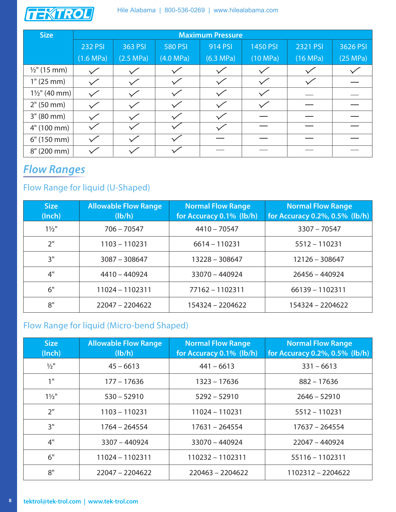

| <b>Size</b>              | <b>Maximum Pressure</b> |           |                |              |          |          |          |
|--------------------------|-------------------------|-----------|----------------|--------------|----------|----------|----------|
|                          | <b>232 PSI</b>          | 363 PSI   | <b>580 PSI</b> | 914 PSI      | 1450 PSI | 2321 PSI | 3626 PSI |
|                          | (1.6 MPa)               | (2.5 MPa) | (4.0 MPa)      | (6.3 MPa)    | (10 MPa) | (16 MPa) | (25 MPa) |
| $\frac{1}{2}$ " (15 mm)  | $\checkmark$            |           |                |              |          |          |          |
| 1" (25 mm)               |                         |           |                |              |          |          |          |
| $1\frac{1}{2}$ " (40 mm) | $\checkmark$            |           |                |              |          |          |          |
| 2" (50 mm)               | $\checkmark$            |           |                | $\checkmark$ |          |          |          |
| $3''(80 \text{ mm})$     |                         |           |                |              |          |          |          |
| 4" (100 mm)              |                         |           |                |              |          |          |          |
| 6" (150 mm)              | $\checkmark$            |           |                |              |          |          |          |
| $8''(200 \text{ mm})$    |                         |           |                |              |          |          |          |

# **Flow Ranges**

### Flow Range for liquid (U-Shaped)

| <b>Size</b><br>(Inch) | <b>Allowable Flow Range</b><br>(lb/h) | <b>Normal Flow Range</b><br>for Accuracy 0.1% (lb/h) | <b>Normal Flow Range</b><br>for Accuracy 0.2%, 0.5% (lb/h) |
|-----------------------|---------------------------------------|------------------------------------------------------|------------------------------------------------------------|
| $1\frac{1}{2}$ "      | $706 - 70547$                         | $4410 - 70547$                                       | $3307 - 70547$                                             |
| 2"                    | $1103 - 110231$                       | $6614 - 110231$                                      | $5512 - 110231$                                            |
| 3"                    | $3087 - 308647$                       | 13228 - 308647                                       | 12126 - 308647                                             |
| 4"                    | $4410 - 440924$                       | 33070 - 440924                                       | 26456 - 440924                                             |
| 6"                    | 11024 - 1102311                       | 77162 - 1102311                                      | 66139 - 1102311                                            |
| 8"                    | 22047 - 2204622                       | 154324 - 2204622                                     | 154324 - 2204622                                           |

### Flow Range for liquid (Micro-bend Shaped)

| <b>Size</b><br>(Inch) | <b>Allowable Flow Range</b><br>(lb/h) | <b>Normal Flow Range</b><br>for Accuracy 0.1% (lb/h) | <b>Normal Flow Range</b><br>for Accuracy 0.2%, 0.5% (lb/h) |  |  |
|-----------------------|---------------------------------------|------------------------------------------------------|------------------------------------------------------------|--|--|
| $\frac{1}{2}$ "       | $45 - 6613$                           | $441 - 6613$                                         | $331 - 6613$                                               |  |  |
| 1"                    | $177 - 17636$                         | $1323 - 17636$                                       | $882 - 17636$                                              |  |  |
| $1\frac{1}{2}$ "      | $530 - 52910$                         | $5292 - 52910$                                       | $2646 - 52910$                                             |  |  |
| 2"                    | $1103 - 110231$                       | 11024 - 110231                                       | $5512 - 110231$                                            |  |  |
| 3"                    | $1764 - 264554$                       | $17631 - 264554$                                     | $17637 - 264554$                                           |  |  |
| 4"                    | $3307 - 440924$                       | $33070 - 440924$                                     | 22047 - 440924                                             |  |  |
| 6"                    | 11024 - 1102311                       | 110232 - 1102311                                     | $55116 - 1102311$                                          |  |  |
| 8"                    | 22047 - 2204622                       | 220463 - 2204622                                     |                                                            |  |  |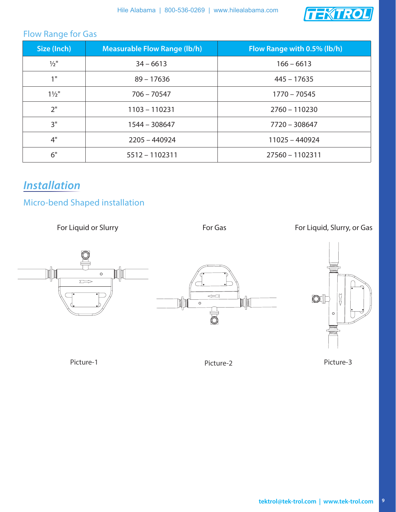

### Flow Range for Gas

| Size (Inch)     | <b>Measurable Flow Range (lb/h)</b> | Flow Range with 0.5% (lb/h) |  |  |
|-----------------|-------------------------------------|-----------------------------|--|--|
| $\frac{1}{2}$ " | $34 - 6613$                         | $166 - 6613$                |  |  |
| 1 <sup>11</sup> | $89 - 17636$                        | $445 - 17635$               |  |  |
| $1\frac{1}{2}$  | $706 - 70547$                       | $1770 - 70545$              |  |  |
| 2"              | 1103 - 110231                       | $2760 - 110230$             |  |  |
| 3"              | 1544 - 308647                       | 7720 - 308647               |  |  |
| 4"              | $2205 - 440924$                     | $11025 - 440924$            |  |  |
| 6"              | $5512 - 1102311$                    | 27560 - 1102311             |  |  |

### **Installation**

### Micro-bend Shaped installation

For Liquid or Slurry **For Gas** For Gas For Liquid, Slurry, or Gas



Picture-1 Picture-2 Picture-2 Picture-3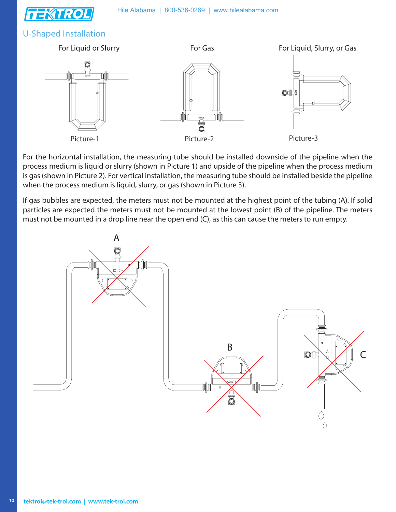

#### U-Shaped Installation



For the horizontal installation, the measuring tube should be installed downside of the pipeline when the process medium is liquid or slurry (shown in Picture 1) and upside of the pipeline when the process medium is gas (shown in Picture 2). For vertical installation, the measuring tube should be installed beside the pipeline when the process medium is liquid, slurry, or gas (shown in Picture 3).

If gas bubbles are expected, the meters must not be mounted at the highest point of the tubing (A). If solid particles are expected the meters must not be mounted at the lowest point (B) of the pipeline. The meters must not be mounted in a drop line near the open end (C), as this can cause the meters to run empty.

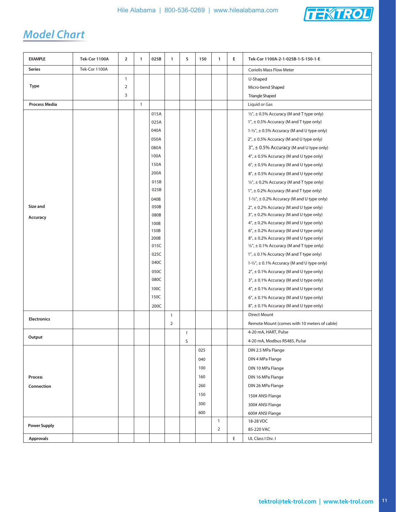# **TEXTROL**

# **Model Chart**

| <b>EXAMPLE</b>       | Tek-Cor 1100A | $\overline{2}$ | $\mathbf{1}$   | 025B | $\mathbf{1}$   | S | 150 | $\mathbf{1}$   | Е | Tek-Cor 1100A-2-1-025B-1-S-150-1-E                    |
|----------------------|---------------|----------------|----------------|------|----------------|---|-----|----------------|---|-------------------------------------------------------|
| <b>Series</b>        | Tek-Cor 1100A |                |                |      |                |   |     |                |   | <b>Coriolis Mass Flow Meter</b>                       |
|                      |               | $\mathbf{1}$   |                |      |                |   |     |                |   | U-Shaped                                              |
| Type                 |               | $\overline{2}$ |                |      |                |   |     |                |   | Micro-bend Shaped                                     |
|                      |               | 3              |                |      |                |   |     |                |   | <b>Triangle Shaped</b>                                |
| <b>Process Media</b> |               |                | $\overline{1}$ |      |                |   |     |                |   | Liquid or Gas                                         |
|                      |               |                |                | 015A |                |   |     |                |   | $\frac{1}{2}$ , ± 0.5% Accuracy (M and T type only)   |
|                      |               |                |                | 025A |                |   |     |                |   | 1", $\pm$ 0.5% Accuracy (M and T type only)           |
|                      |               |                |                | 040A |                |   |     |                |   | $1-y_2$ ", $\pm$ 0.5% Accuracy (M and U type only)    |
|                      |               |                |                | 050A |                |   |     |                |   | $2$ ", $\pm$ 0.5% Accuracy (M and U type only)        |
|                      |               |                |                | 080A |                |   |     |                |   | $3''$ , $\pm$ 0.5% Accuracy (M and U type only)       |
|                      |               |                |                | 100A |                |   |     |                |   | $4$ ", $\pm$ 0.5% Accuracy (M and U type only)        |
|                      |               |                |                | 150A |                |   |     |                |   | $6$ ", $\pm$ 0.5% Accuracy (M and U type only)        |
|                      |               |                |                | 200A |                |   |     |                |   | $8''$ , $\pm$ 0.5% Accuracy (M and U type only)       |
|                      |               |                |                | 015B |                |   |     |                |   | $\frac{1}{2}$ , ± 0.2% Accuracy (M and T type only)   |
|                      |               |                |                | 025B |                |   |     |                |   | $1$ ", $\pm$ 0.2% Accuracy (M and T type only)        |
|                      |               |                |                | 040B |                |   |     |                |   | $1-\frac{1}{2}$ , ± 0.2% Accuracy (M and U type only) |
| Size and             |               |                |                | 050B |                |   |     |                |   | $2$ ", $\pm$ 0.2% Accuracy (M and U type only)        |
| Accuracy             |               |                |                | 080B |                |   |     |                |   | $3"$ , $\pm$ 0.2% Accuracy (M and U type only)        |
|                      |               |                |                | 100B |                |   |     |                |   | $4$ ", $\pm$ 0.2% Accuracy (M and U type only)        |
|                      |               |                |                | 150B |                |   |     |                |   | $6$ ", $\pm$ 0.2% Accuracy (M and U type only)        |
|                      |               |                |                | 200B |                |   |     |                |   | 8", ± 0.2% Accuracy (M and U type only)               |
|                      |               |                |                | 015C |                |   |     |                |   | $\frac{1}{2}$ , ± 0.1% Accuracy (M and T type only)   |
|                      |               |                |                | 025C |                |   |     |                |   | $1$ ", $\pm$ 0.1% Accuracy (M and T type only)        |
|                      |               |                |                | 040C |                |   |     |                |   | $1-y_2$ ", $\pm$ 0.1% Accuracy (M and U type only)    |
|                      |               |                |                | 050C |                |   |     |                |   | $2"$ , $\pm$ 0.1% Accuracy (M and U type only)        |
|                      |               |                |                | 080C |                |   |     |                |   | $3''$ , $\pm$ 0.1% Accuracy (M and U type only)       |
|                      |               |                |                | 100C |                |   |     |                |   | $4$ ", $\pm$ 0.1% Accuracy (M and U type only)        |
|                      |               |                |                | 150C |                |   |     |                |   | $6''$ , $\pm$ 0.1% Accuracy (M and U type only)       |
|                      |               |                |                | 200C |                |   |     |                |   | $8''$ , $\pm$ 0.1% Accuracy (M and U type only)       |
| <b>Electronics</b>   |               |                |                |      | $\mathbf{1}$   |   |     |                |   | <b>Direct Mount</b>                                   |
|                      |               |                |                |      | $\overline{2}$ |   |     |                |   | Remote Mount (comes with 10 meters of cable)          |
|                      |               |                |                |      |                | 1 |     |                |   | 4-20 mA, HART, Pulse                                  |
| Output               |               |                |                |      |                | S |     |                |   | 4-20 mA, Modbus RS485, Pulse                          |
|                      |               |                |                |      |                |   | 025 |                |   | DIN 2.5 MPa Flange                                    |
|                      |               |                |                |      |                |   | 040 |                |   | DIN 4 MPa Flange                                      |
|                      |               |                |                |      |                |   | 100 |                |   | DIN 10 MPa Flange                                     |
| Process              |               |                |                |      |                |   | 160 |                |   | DIN 16 MPa Flange                                     |
| Connection           |               |                |                |      |                |   | 260 |                |   | DIN 26 MPa Flange                                     |
|                      |               |                |                |      |                |   | 150 |                |   | 150# ANSI Flange                                      |
|                      |               |                |                |      |                |   | 300 |                |   |                                                       |
|                      |               |                |                |      |                |   |     |                |   | 300# ANSI Flange                                      |
|                      |               |                |                |      |                |   | 600 | $\mathbf{1}$   |   | 600# ANSI Flange                                      |
| <b>Power Supply</b>  |               |                |                |      |                |   |     | $\overline{2}$ |   | 18-28 VDC<br>85-220 VAC                               |
|                      |               |                |                |      |                |   |     |                |   |                                                       |
| <b>Approvals</b>     |               |                |                |      |                |   |     |                | E | UL Class I Div. I                                     |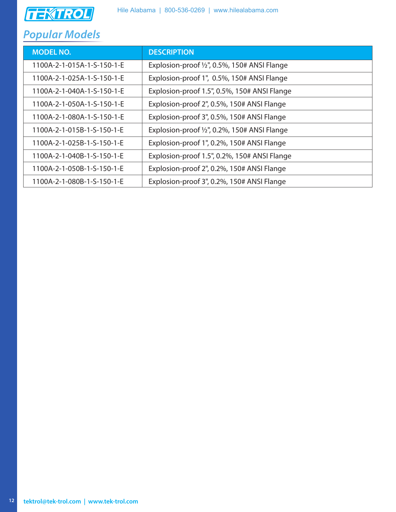

# **Popular Models**

| <b>MODEL NO.</b>           | <b>DESCRIPTION</b>                           |
|----------------------------|----------------------------------------------|
| 1100A-2-1-015A-1-S-150-1-E | Explosion-proof 1/2", 0.5%, 150# ANSI Flange |
| 1100A-2-1-025A-1-S-150-1-E | Explosion-proof 1", 0.5%, 150# ANSI Flange   |
| 1100A-2-1-040A-1-S-150-1-E | Explosion-proof 1.5", 0.5%, 150# ANSI Flange |
| 1100A-2-1-050A-1-S-150-1-E | Explosion-proof 2", 0.5%, 150# ANSI Flange   |
| 1100A-2-1-080A-1-S-150-1-E | Explosion-proof 3", 0.5%, 150# ANSI Flange   |
| 1100A-2-1-015B-1-S-150-1-E | Explosion-proof 1/2", 0.2%, 150# ANSI Flange |
| 1100A-2-1-025B-1-S-150-1-E | Explosion-proof 1", 0.2%, 150# ANSI Flange   |
| 1100A-2-1-040B-1-S-150-1-E | Explosion-proof 1.5", 0.2%, 150# ANSI Flange |
| 1100A-2-1-050B-1-S-150-1-E | Explosion-proof 2", 0.2%, 150# ANSI Flange   |
| 1100A-2-1-080B-1-S-150-1-E | Explosion-proof 3", 0.2%, 150# ANSI Flange   |